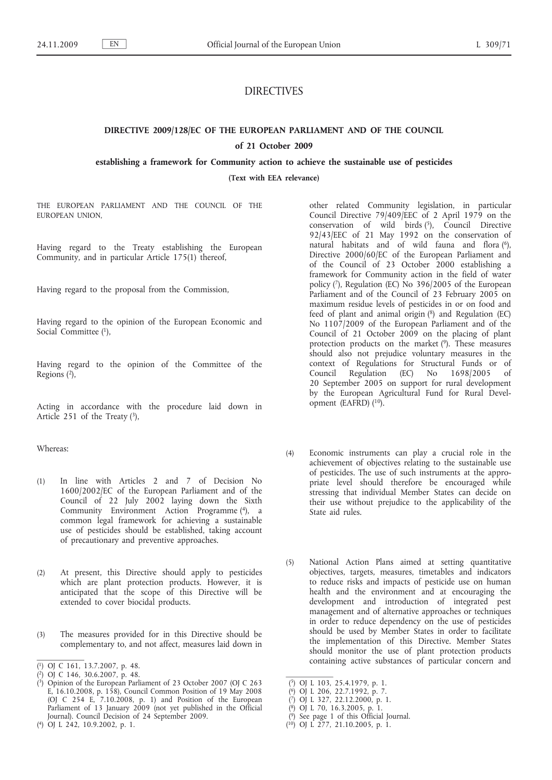# DIRECTIVES

# **DIRECTIVE 2009/128/EC OF THE EUROPEAN PARLIAMENT AND OF THE COUNCIL**

# **of 21 October 2009**

**establishing a framework for Community action to achieve the sustainable use of pesticides**

**(Text with EEA relevance)**

THE EUROPEAN PARLIAMENT AND THE COUNCIL OF THE EUROPEAN UNION,

Having regard to the Treaty establishing the European Community, and in particular Article 175(1) thereof,

Having regard to the proposal from the Commission,

Having regard to the opinion of the European Economic and Social Committee (1),

Having regard to the opinion of the Committee of the Regions (2),

Acting in accordance with the procedure laid down in Article 251 of the Treaty  $(3)$ ,

Whereas:

- (1) In line with Articles 2 and 7 of Decision No 1600/2002/EC of the European Parliament and of the Council of 22 July 2002 laying down the Sixth Community Environment Action Programme (4), a common legal framework for achieving a sustainable use of pesticides should be established, taking account of precautionary and preventive approaches.
- (2) At present, this Directive should apply to pesticides which are plant protection products. However, it is anticipated that the scope of this Directive will be extended to cover biocidal products.
- (3) The measures provided for in this Directive should be complementary to, and not affect, measures laid down in

other related Community legislation, in particular Council Directive 79/409/EEC of 2 April 1979 on the conservation of wild birds  $(5)$ , Council Directive 92/43/EEC of 21 May 1992 on the conservation of natural habitats and of wild fauna and flora (6), Directive 2000/60/EC of the European Parliament and of the Council of 23 October 2000 establishing a framework for Community action in the field of water policy (7), Regulation (EC) No 396/2005 of the European Parliament and of the Council of 23 February 2005 on maximum residue levels of pesticides in or on food and feed of plant and animal origin  $(^{8})$  and Regulation (EC) No 1107/2009 of the European Parliament and of the Council of 21 October 2009 on the placing of plant protection products on the market (9). These measures should also not prejudice voluntary measures in the context of Regulations for Structural Funds or of Council Regulation (EC) No 1698/2005 of 20 September 2005 on support for rural development by the European Agricultural Fund for Rural Development (EAFRD) (10).

- (4) Economic instruments can play a crucial role in the achievement of objectives relating to the sustainable use of pesticides. The use of such instruments at the appropriate level should therefore be encouraged while stressing that individual Member States can decide on their use without prejudice to the applicability of the State aid rules.
- (5) National Action Plans aimed at setting quantitative objectives, targets, measures, timetables and indicators to reduce risks and impacts of pesticide use on human health and the environment and at encouraging the development and introduction of integrated pest management and of alternative approaches or techniques in order to reduce dependency on the use of pesticides should be used by Member States in order to facilitate the implementation of this Directive. Member States should monitor the use of plant protection products containing active substances of particular concern and

<sup>(</sup> 1) OJ C 161, 13.7.2007, p. 48.

<sup>(</sup> 2) OJ C 146, 30.6.2007, p. 48.

<sup>(</sup> 3) Opinion of the European Parliament of 23 October 2007 (OJ C 263 E, 16.10.2008, p. 158), Council Common Position of 19 May 2008 (OJ C 254 E, 7.10.2008, p. 1) and Position of the European Parliament of 13 January 2009 (not yet published in the Official Journal). Council Decision of 24 September 2009.

<sup>(</sup> 4) OJ L 242, 10.9.2002, p. 1.

<sup>(</sup> 5) OJ L 103, 25.4.1979, p. 1.

<sup>(</sup> 6) OJ L 206, 22.7.1992, p. 7.

<sup>(</sup> 7) OJ L 327, 22.12.2000, p. 1.

<sup>(</sup> 8) OJ L 70, 16.3.2005, p. 1.

<sup>(</sup> 9) See page 1 of this Official Journal.

<sup>(</sup> 10) OJ L 277, 21.10.2005, p. 1.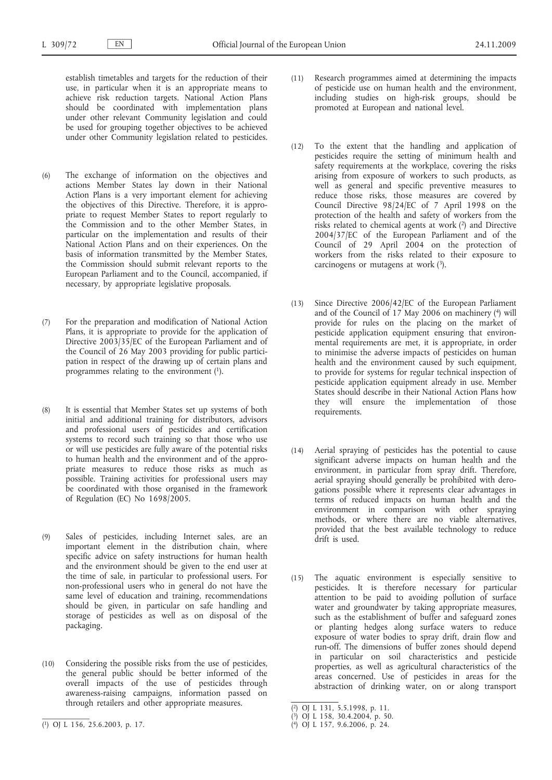establish timetables and targets for the reduction of their use, in particular when it is an appropriate means to achieve risk reduction targets. National Action Plans should be coordinated with implementation plans under other relevant Community legislation and could be used for grouping together objectives to be achieved under other Community legislation related to pesticides.

- (6) The exchange of information on the objectives and actions Member States lay down in their National Action Plans is a very important element for achieving the objectives of this Directive. Therefore, it is appropriate to request Member States to report regularly to the Commission and to the other Member States, in particular on the implementation and results of their National Action Plans and on their experiences. On the basis of information transmitted by the Member States, the Commission should submit relevant reports to the European Parliament and to the Council, accompanied, if necessary, by appropriate legislative proposals.
- (7) For the preparation and modification of National Action Plans, it is appropriate to provide for the application of Directive 2003/35/EC of the European Parliament and of the Council of 26 May 2003 providing for public participation in respect of the drawing up of certain plans and programmes relating to the environment  $(1)$ .
- (8) It is essential that Member States set up systems of both initial and additional training for distributors, advisors and professional users of pesticides and certification systems to record such training so that those who use or will use pesticides are fully aware of the potential risks to human health and the environment and of the appropriate measures to reduce those risks as much as possible. Training activities for professional users may be coordinated with those organised in the framework of Regulation (EC) No 1698/2005.
- (9) Sales of pesticides, including Internet sales, are an important element in the distribution chain, where specific advice on safety instructions for human health and the environment should be given to the end user at the time of sale, in particular to professional users. For non-professional users who in general do not have the same level of education and training, recommendations should be given, in particular on safe handling and storage of pesticides as well as on disposal of the packaging.
- (10) Considering the possible risks from the use of pesticides, the general public should be better informed of the overall impacts of the use of pesticides through awareness-raising campaigns, information passed on through retailers and other appropriate measures.
- (11) Research programmes aimed at determining the impacts of pesticide use on human health and the environment, including studies on high-risk groups, should be promoted at European and national level.
- (12) To the extent that the handling and application of pesticides require the setting of minimum health and safety requirements at the workplace, covering the risks arising from exposure of workers to such products, as well as general and specific preventive measures to reduce those risks, those measures are covered by Council Directive 98/24/EC of 7 April 1998 on the protection of the health and safety of workers from the risks related to chemical agents at work (2) and Directive 2004/37/EC of the European Parliament and of the Council of 29 April 2004 on the protection of workers from the risks related to their exposure to carcinogens or mutagens at work  $(3)$ .
- (13) Since Directive 2006/42/EC of the European Parliament and of the Council of  $17$  May 2006 on machinery (4) will provide for rules on the placing on the market of pesticide application equipment ensuring that environmental requirements are met, it is appropriate, in order to minimise the adverse impacts of pesticides on human health and the environment caused by such equipment, to provide for systems for regular technical inspection of pesticide application equipment already in use. Member States should describe in their National Action Plans how they will ensure the implementation of those requirements.
- (14) Aerial spraying of pesticides has the potential to cause significant adverse impacts on human health and the environment, in particular from spray drift. Therefore, aerial spraying should generally be prohibited with derogations possible where it represents clear advantages in terms of reduced impacts on human health and the environment in comparison with other spraying methods, or where there are no viable alternatives, provided that the best available technology to reduce drift is used.
- (15) The aquatic environment is especially sensitive to pesticides. It is therefore necessary for particular attention to be paid to avoiding pollution of surface water and groundwater by taking appropriate measures, such as the establishment of buffer and safeguard zones or planting hedges along surface waters to reduce exposure of water bodies to spray drift, drain flow and run-off. The dimensions of buffer zones should depend in particular on soil characteristics and pesticide properties, as well as agricultural characteristics of the areas concerned. Use of pesticides in areas for the abstraction of drinking water, on or along transport

<sup>(</sup> 1) OJ L 156, 25.6.2003, p. 17.

<sup>(</sup> 2) OJ L 131, 5.5.1998, p. 11.

<sup>(</sup> 3) OJ L 158, 30.4.2004, p. 50.

<sup>(</sup> 4) OJ L 157, 9.6.2006, p. 24.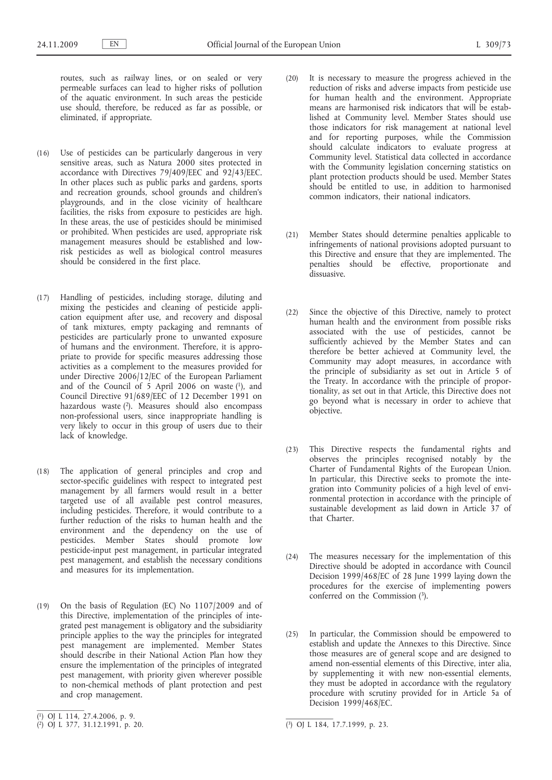routes, such as railway lines, or on sealed or very permeable surfaces can lead to higher risks of pollution of the aquatic environment. In such areas the pesticide use should, therefore, be reduced as far as possible, or eliminated, if appropriate.

- (16) Use of pesticides can be particularly dangerous in very sensitive areas, such as Natura 2000 sites protected in accordance with Directives 79/409/EEC and 92/43/EEC. In other places such as public parks and gardens, sports and recreation grounds, school grounds and children's playgrounds, and in the close vicinity of healthcare facilities, the risks from exposure to pesticides are high. In these areas, the use of pesticides should be minimised or prohibited. When pesticides are used, appropriate risk management measures should be established and lowrisk pesticides as well as biological control measures should be considered in the first place.
- (17) Handling of pesticides, including storage, diluting and mixing the pesticides and cleaning of pesticide application equipment after use, and recovery and disposal of tank mixtures, empty packaging and remnants of pesticides are particularly prone to unwanted exposure of humans and the environment. Therefore, it is appropriate to provide for specific measures addressing those activities as a complement to the measures provided for under Directive 2006/12/EC of the European Parliament and of the Council of 5 April 2006 on waste  $(1)$ , and Council Directive 91/689/EEC of 12 December 1991 on hazardous waste (2). Measures should also encompass non-professional users, since inappropriate handling is very likely to occur in this group of users due to their lack of knowledge.
- (18) The application of general principles and crop and sector-specific guidelines with respect to integrated pest management by all farmers would result in a better targeted use of all available pest control measures, including pesticides. Therefore, it would contribute to a further reduction of the risks to human health and the environment and the dependency on the use of pesticides. Member States should promote low pesticide-input pest management, in particular integrated pest management, and establish the necessary conditions and measures for its implementation.
- (19) On the basis of Regulation (EC) No 1107/2009 and of this Directive, implementation of the principles of integrated pest management is obligatory and the subsidiarity principle applies to the way the principles for integrated pest management are implemented. Member States should describe in their National Action Plan how they ensure the implementation of the principles of integrated pest management, with priority given wherever possible to non-chemical methods of plant protection and pest and crop management.
- (20) It is necessary to measure the progress achieved in the reduction of risks and adverse impacts from pesticide use for human health and the environment. Appropriate means are harmonised risk indicators that will be established at Community level. Member States should use those indicators for risk management at national level and for reporting purposes, while the Commission should calculate indicators to evaluate progress at Community level. Statistical data collected in accordance with the Community legislation concerning statistics on plant protection products should be used. Member States should be entitled to use, in addition to harmonised common indicators, their national indicators.
- (21) Member States should determine penalties applicable to infringements of national provisions adopted pursuant to this Directive and ensure that they are implemented. The penalties should be effective, proportionate and dissuasive.
- (22) Since the objective of this Directive, namely to protect human health and the environment from possible risks associated with the use of pesticides, cannot be sufficiently achieved by the Member States and can therefore be better achieved at Community level, the Community may adopt measures, in accordance with the principle of subsidiarity as set out in Article 5 of the Treaty. In accordance with the principle of proportionality, as set out in that Article, this Directive does not go beyond what is necessary in order to achieve that objective.
- (23) This Directive respects the fundamental rights and observes the principles recognised notably by the Charter of Fundamental Rights of the European Union. In particular, this Directive seeks to promote the integration into Community policies of a high level of environmental protection in accordance with the principle of sustainable development as laid down in Article 37 of that Charter.
- (24) The measures necessary for the implementation of this Directive should be adopted in accordance with Council Decision 1999/468/EC of 28 June 1999 laying down the procedures for the exercise of implementing powers conferred on the Commission (3).
- (25) In particular, the Commission should be empowered to establish and update the Annexes to this Directive. Since those measures are of general scope and are designed to amend non-essential elements of this Directive, inter alia, by supplementing it with new non-essential elements, they must be adopted in accordance with the regulatory procedure with scrutiny provided for in Article 5a of Decision 1999/468/EC.

<sup>(</sup> 1) OJ L 114, 27.4.2006, p. 9.

<sup>(</sup> 2) OJ L 377, 31.12.1991, p. 20. (3) OJ L 184, 17.7.1999, p. 23.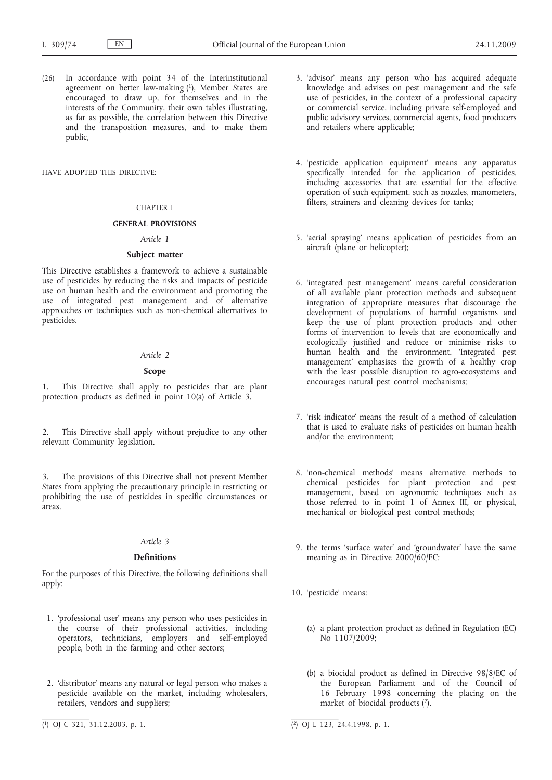(26) In accordance with point 34 of the Interinstitutional agreement on better law-making (1), Member States are encouraged to draw up, for themselves and in the interests of the Community, their own tables illustrating, as far as possible, the correlation between this Directive and the transposition measures, and to make them public,

HAVE ADOPTED THIS DIRECTIVE:

# CHAPTER I

### **GENERAL PROVISIONS**

### *Article 1*

# **Subject matter**

This Directive establishes a framework to achieve a sustainable use of pesticides by reducing the risks and impacts of pesticide use on human health and the environment and promoting the use of integrated pest management and of alternative approaches or techniques such as non-chemical alternatives to pesticides.

#### *Article 2*

# **Scope**

1. This Directive shall apply to pesticides that are plant protection products as defined in point 10(a) of Article 3.

2. This Directive shall apply without prejudice to any other relevant Community legislation.

The provisions of this Directive shall not prevent Member States from applying the precautionary principle in restricting or prohibiting the use of pesticides in specific circumstances or areas.

## *Article 3*

### **Definitions**

For the purposes of this Directive, the following definitions shall apply:

- 1. 'professional user' means any person who uses pesticides in the course of their professional activities, including operators, technicians, employers and self-employed people, both in the farming and other sectors;
- 2. 'distributor' means any natural or legal person who makes a pesticide available on the market, including wholesalers, retailers, vendors and suppliers;
- 3. 'advisor' means any person who has acquired adequate knowledge and advises on pest management and the safe use of pesticides, in the context of a professional capacity or commercial service, including private self-employed and public advisory services, commercial agents, food producers and retailers where applicable;
- 4. 'pesticide application equipment' means any apparatus specifically intended for the application of pesticides, including accessories that are essential for the effective operation of such equipment, such as nozzles, manometers, filters, strainers and cleaning devices for tanks;
- 5. 'aerial spraying' means application of pesticides from an aircraft (plane or helicopter);
- 6. 'integrated pest management' means careful consideration of all available plant protection methods and subsequent integration of appropriate measures that discourage the development of populations of harmful organisms and keep the use of plant protection products and other forms of intervention to levels that are economically and ecologically justified and reduce or minimise risks to human health and the environment. 'Integrated pest management' emphasises the growth of a healthy crop with the least possible disruption to agro-ecosystems and encourages natural pest control mechanisms;
- 7. 'risk indicator' means the result of a method of calculation that is used to evaluate risks of pesticides on human health and/or the environment;
- 8. 'non-chemical methods' means alternative methods to chemical pesticides for plant protection and pest management, based on agronomic techniques such as those referred to in point 1 of Annex III, or physical, mechanical or biological pest control methods;
- 9. the terms 'surface water' and 'groundwater' have the same meaning as in Directive 2000/60/EC;
- 10. 'pesticide' means:
	- (a) a plant protection product as defined in Regulation (EC) No 1107/2009;
	- (b) a biocidal product as defined in Directive 98/8/EC of the European Parliament and of the Council of 16 February 1998 concerning the placing on the market of biocidal products (2).

<sup>(</sup> 1) OJ C 321, 31.12.2003, p. 1. (2) OJ L 123, 24.4.1998, p. 1.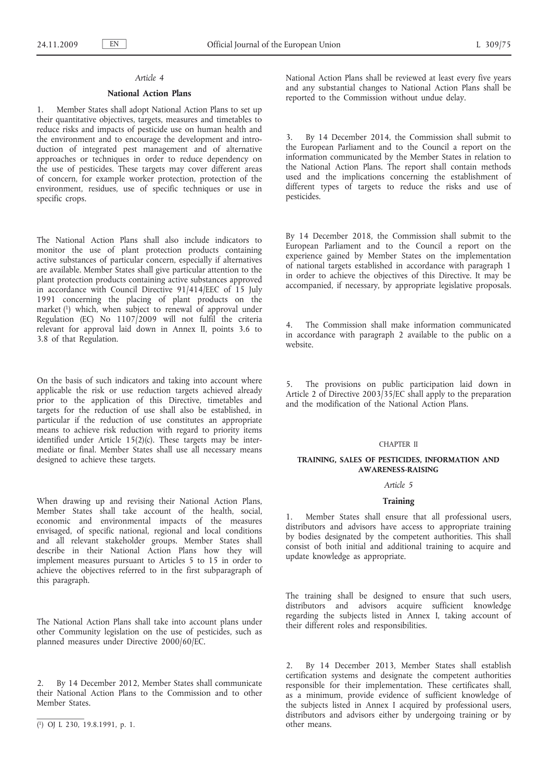# *Article 4*

### **National Action Plans**

1. Member States shall adopt National Action Plans to set up their quantitative objectives, targets, measures and timetables to reduce risks and impacts of pesticide use on human health and the environment and to encourage the development and introduction of integrated pest management and of alternative approaches or techniques in order to reduce dependency on the use of pesticides. These targets may cover different areas of concern, for example worker protection, protection of the environment, residues, use of specific techniques or use in specific crops.

The National Action Plans shall also include indicators to monitor the use of plant protection products containing active substances of particular concern, especially if alternatives are available. Member States shall give particular attention to the plant protection products containing active substances approved in accordance with Council Directive 91/414/EEC of 15 July 1991 concerning the placing of plant products on the market  $(1)$  which, when subject to renewal of approval under Regulation (EC) No  $1107/2009$  will not fulfil the criteria relevant for approval laid down in Annex II, points 3.6 to 3.8 of that Regulation.

On the basis of such indicators and taking into account where applicable the risk or use reduction targets achieved already prior to the application of this Directive, timetables and targets for the reduction of use shall also be established, in particular if the reduction of use constitutes an appropriate means to achieve risk reduction with regard to priority items identified under Article 15(2)(c). These targets may be intermediate or final. Member States shall use all necessary means designed to achieve these targets.

When drawing up and revising their National Action Plans, Member States shall take account of the health, social, economic and environmental impacts of the measures envisaged, of specific national, regional and local conditions and all relevant stakeholder groups. Member States shall describe in their National Action Plans how they will implement measures pursuant to Articles 5 to 15 in order to achieve the objectives referred to in the first subparagraph of this paragraph.

The National Action Plans shall take into account plans under other Community legislation on the use of pesticides, such as planned measures under Directive 2000/60/EC.

By 14 December 2012, Member States shall communicate their National Action Plans to the Commission and to other Member States.

National Action Plans shall be reviewed at least every five years and any substantial changes to National Action Plans shall be reported to the Commission without undue delay.

By 14 December 2014, the Commission shall submit to the European Parliament and to the Council a report on the information communicated by the Member States in relation to the National Action Plans. The report shall contain methods used and the implications concerning the establishment of different types of targets to reduce the risks and use of pesticides.

By 14 December 2018, the Commission shall submit to the European Parliament and to the Council a report on the experience gained by Member States on the implementation of national targets established in accordance with paragraph 1 in order to achieve the objectives of this Directive. It may be accompanied, if necessary, by appropriate legislative proposals.

The Commission shall make information communicated in accordance with paragraph 2 available to the public on a website.

5. The provisions on public participation laid down in Article 2 of Directive 2003/35/EC shall apply to the preparation and the modification of the National Action Plans.

#### CHAPTER II

### **TRAINING, SALES OF PESTICIDES, INFORMATION AND AWARENESS-RAISING**

## *Article 5*

### **Training**

1. Member States shall ensure that all professional users, distributors and advisors have access to appropriate training by bodies designated by the competent authorities. This shall consist of both initial and additional training to acquire and update knowledge as appropriate.

The training shall be designed to ensure that such users, distributors and advisors acquire sufficient knowledge regarding the subjects listed in Annex I, taking account of their different roles and responsibilities.

2. By 14 December 2013, Member States shall establish certification systems and designate the competent authorities responsible for their implementation. These certificates shall, as a minimum, provide evidence of sufficient knowledge of the subjects listed in Annex I acquired by professional users, distributors and advisors either by undergoing training or by other means.

<sup>(</sup> 1) OJ L 230, 19.8.1991, p. 1.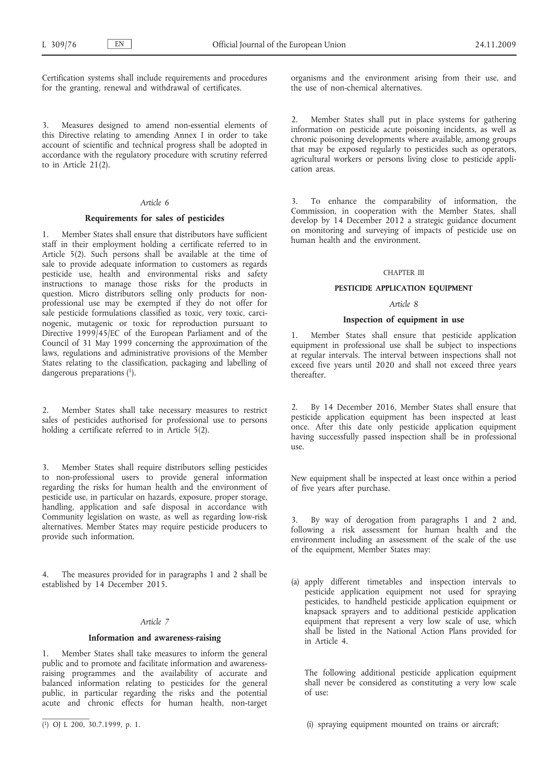Certification systems shall include requirements and procedures for the granting, renewal and withdrawal of certificates.

3. Measures designed to amend non-essential elements of this Directive relating to amending Annex I in order to take account of scientific and technical progress shall be adopted in accordance with the regulatory procedure with scrutiny referred to in Article 21(2).

### *Article 6*

### **Requirements for sales of pesticides**

1. Member States shall ensure that distributors have sufficient staff in their employment holding a certificate referred to in Article 5(2). Such persons shall be available at the time of sale to provide adequate information to customers as regards pesticide use, health and environmental risks and safety instructions to manage those risks for the products in question. Micro distributors selling only products for nonprofessional use may be exempted if they do not offer for sale pesticide formulations classified as toxic, very toxic, carcinogenic, mutagenic or toxic for reproduction pursuant to Directive 1999/45/EC of the European Parliament and of the Council of 31 May 1999 concerning the approximation of the laws, regulations and administrative provisions of the Member States relating to the classification, packaging and labelling of dangerous preparations (1).

Member States shall take necessary measures to restrict sales of pesticides authorised for professional use to persons holding a certificate referred to in Article 5(2).

3. Member States shall require distributors selling pesticides to non-professional users to provide general information regarding the risks for human health and the environment of pesticide use, in particular on hazards, exposure, proper storage, handling, application and safe disposal in accordance with Community legislation on waste, as well as regarding low-risk alternatives. Member States may require pesticide producers to provide such information.

The measures provided for in paragraphs 1 and 2 shall be established by 14 December 2015.

# *Article 7*

### **Information and awareness-raising**

1. Member States shall take measures to inform the general public and to promote and facilitate information and awarenessraising programmes and the availability of accurate and balanced information relating to pesticides for the general public, in particular regarding the risks and the potential acute and chronic effects for human health, non-target organisms and the environment arising from their use, and the use of non-chemical alternatives.

2. Member States shall put in place systems for gathering information on pesticide acute poisoning incidents, as well as chronic poisoning developments where available, among groups that may be exposed regularly to pesticides such as operators, agricultural workers or persons living close to pesticide application areas.

3. To enhance the comparability of information, the Commission, in cooperation with the Member States, shall develop by 14 December 2012 a strategic guidance document on monitoring and surveying of impacts of pesticide use on human health and the environment.

#### CHAPTER III

### **PESTICIDE APPLICATION EQUIPMENT**

### *Article 8*

### **Inspection of equipment in use**

Member States shall ensure that pesticide application equipment in professional use shall be subject to inspections at regular intervals. The interval between inspections shall not exceed five years until 2020 and shall not exceed three years thereafter.

2. By 14 December 2016, Member States shall ensure that pesticide application equipment has been inspected at least once. After this date only pesticide application equipment having successfully passed inspection shall be in professional  $11$ Se.

New equipment shall be inspected at least once within a period of five years after purchase.

3. By way of derogation from paragraphs 1 and 2 and, following a risk assessment for human health and the environment including an assessment of the scale of the use of the equipment, Member States may:

(a) apply different timetables and inspection intervals to pesticide application equipment not used for spraying pesticides, to handheld pesticide application equipment or knapsack sprayers and to additional pesticide application equipment that represent a very low scale of use, which shall be listed in the National Action Plans provided for in Article 4.

The following additional pesticide application equipment shall never be considered as constituting a very low scale of use:

(i) spraying equipment mounted on trains or aircraft;

<sup>(</sup> 1) OJ L 200, 30.7.1999, p. 1.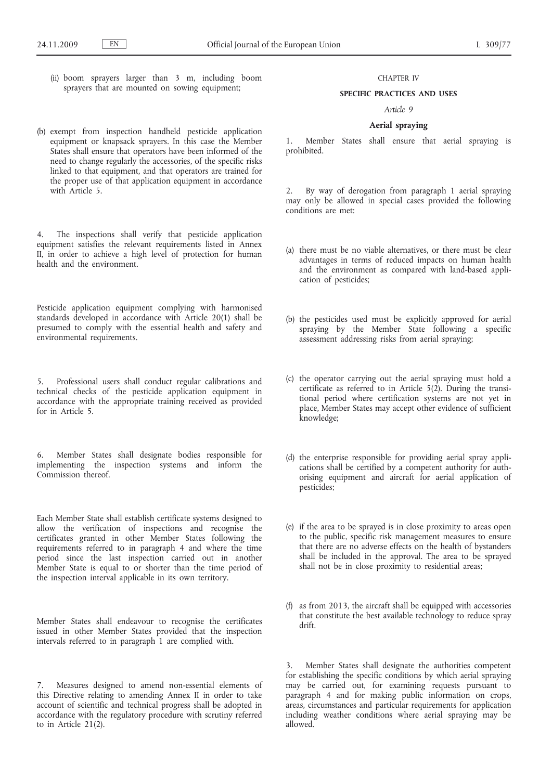(ii) boom sprayers larger than 3 m, including boom sprayers that are mounted on sowing equipment;

### CHAPTER IV

### **SPECIFIC PRACTICES AND USES**

### *Article 9*

# **Aerial spraying**

1. Member States shall ensure that aerial spraying is prohibited.

By way of derogation from paragraph 1 aerial spraying may only be allowed in special cases provided the following conditions are met:

- (a) there must be no viable alternatives, or there must be clear advantages in terms of reduced impacts on human health and the environment as compared with land-based application of pesticides;
- (b) the pesticides used must be explicitly approved for aerial spraying by the Member State following a specific assessment addressing risks from aerial spraying;
- (c) the operator carrying out the aerial spraying must hold a certificate as referred to in Article 5(2). During the transitional period where certification systems are not yet in place, Member States may accept other evidence of sufficient knowledge;
- (d) the enterprise responsible for providing aerial spray applications shall be certified by a competent authority for authorising equipment and aircraft for aerial application of pesticides;
- (e) if the area to be sprayed is in close proximity to areas open to the public, specific risk management measures to ensure that there are no adverse effects on the health of bystanders shall be included in the approval. The area to be sprayed shall not be in close proximity to residential areas;
- (f) as from 2013, the aircraft shall be equipped with accessories that constitute the best available technology to reduce spray drift.

3. Member States shall designate the authorities competent for establishing the specific conditions by which aerial spraying may be carried out, for examining requests pursuant to paragraph 4 and for making public information on crops, areas, circumstances and particular requirements for application including weather conditions where aerial spraying may be allowed.

(b) exempt from inspection handheld pesticide application equipment or knapsack sprayers. In this case the Member States shall ensure that operators have been informed of the need to change regularly the accessories, of the specific risks linked to that equipment, and that operators are trained for the proper use of that application equipment in accordance with Article 5.

4. The inspections shall verify that pesticide application equipment satisfies the relevant requirements listed in Annex II, in order to achieve a high level of protection for human health and the environment.

Pesticide application equipment complying with harmonised standards developed in accordance with Article 20(1) shall be presumed to comply with the essential health and safety and environmental requirements.

5. Professional users shall conduct regular calibrations and technical checks of the pesticide application equipment in accordance with the appropriate training received as provided for in Article 5.

6. Member States shall designate bodies responsible for implementing the inspection systems and inform the Commission thereof.

Each Member State shall establish certificate systems designed to allow the verification of inspections and recognise the certificates granted in other Member States following the requirements referred to in paragraph 4 and where the time period since the last inspection carried out in another Member State is equal to or shorter than the time period of the inspection interval applicable in its own territory.

Member States shall endeavour to recognise the certificates issued in other Member States provided that the inspection intervals referred to in paragraph 1 are complied with.

Measures designed to amend non-essential elements of this Directive relating to amending Annex II in order to take account of scientific and technical progress shall be adopted in accordance with the regulatory procedure with scrutiny referred to in Article 21(2).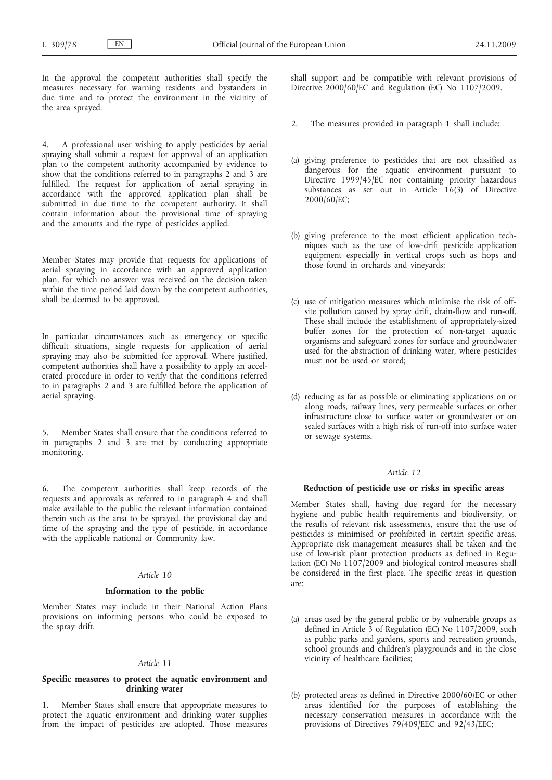In the approval the competent authorities shall specify the measures necessary for warning residents and bystanders in due time and to protect the environment in the vicinity of the area sprayed.

4. A professional user wishing to apply pesticides by aerial spraying shall submit a request for approval of an application plan to the competent authority accompanied by evidence to show that the conditions referred to in paragraphs 2 and 3 are fulfilled. The request for application of aerial spraying in accordance with the approved application plan shall be submitted in due time to the competent authority. It shall contain information about the provisional time of spraying and the amounts and the type of pesticides applied.

Member States may provide that requests for applications of aerial spraying in accordance with an approved application plan, for which no answer was received on the decision taken within the time period laid down by the competent authorities, shall be deemed to be approved.

In particular circumstances such as emergency or specific difficult situations, single requests for application of aerial spraying may also be submitted for approval. Where justified, competent authorities shall have a possibility to apply an accelerated procedure in order to verify that the conditions referred to in paragraphs 2 and 3 are fulfilled before the application of aerial spraying.

5. Member States shall ensure that the conditions referred to in paragraphs 2 and 3 are met by conducting appropriate monitoring.

6. The competent authorities shall keep records of the requests and approvals as referred to in paragraph 4 and shall make available to the public the relevant information contained therein such as the area to be sprayed, the provisional day and time of the spraying and the type of pesticide, in accordance with the applicable national or Community law.

### *Article 10*

### **Information to the public**

Member States may include in their National Action Plans provisions on informing persons who could be exposed to the spray drift.

## *Article 11*

# **Specific measures to protect the aquatic environment and drinking water**

1. Member States shall ensure that appropriate measures to protect the aquatic environment and drinking water supplies from the impact of pesticides are adopted. Those measures

shall support and be compatible with relevant provisions of Directive 2000/60/EC and Regulation (EC) No 1107/2009.

- 2. The measures provided in paragraph 1 shall include:
- (a) giving preference to pesticides that are not classified as dangerous for the aquatic environment pursuant to Directive 1999/45/EC nor containing priority hazardous substances as set out in Article 16(3) of Directive 2000/60/EC;
- (b) giving preference to the most efficient application techniques such as the use of low-drift pesticide application equipment especially in vertical crops such as hops and those found in orchards and vineyards;
- (c) use of mitigation measures which minimise the risk of offsite pollution caused by spray drift, drain-flow and run-off. These shall include the establishment of appropriately-sized buffer zones for the protection of non-target aquatic organisms and safeguard zones for surface and groundwater used for the abstraction of drinking water, where pesticides must not be used or stored;
- (d) reducing as far as possible or eliminating applications on or along roads, railway lines, very permeable surfaces or other infrastructure close to surface water or groundwater or on sealed surfaces with a high risk of run-off into surface water or sewage systems.

# *Article 12*

#### **Reduction of pesticide use or risks in specific areas**

Member States shall, having due regard for the necessary hygiene and public health requirements and biodiversity, or the results of relevant risk assessments, ensure that the use of pesticides is minimised or prohibited in certain specific areas. Appropriate risk management measures shall be taken and the use of low-risk plant protection products as defined in Regulation (EC) No 1107/2009 and biological control measures shall be considered in the first place. The specific areas in question are:

- (a) areas used by the general public or by vulnerable groups as defined in Article 3 of Regulation (EC) No 1107/2009, such as public parks and gardens, sports and recreation grounds, school grounds and children's playgrounds and in the close vicinity of healthcare facilities;
- (b) protected areas as defined in Directive 2000/60/EC or other areas identified for the purposes of establishing the necessary conservation measures in accordance with the provisions of Directives 79/409/EEC and 92/43/EEC;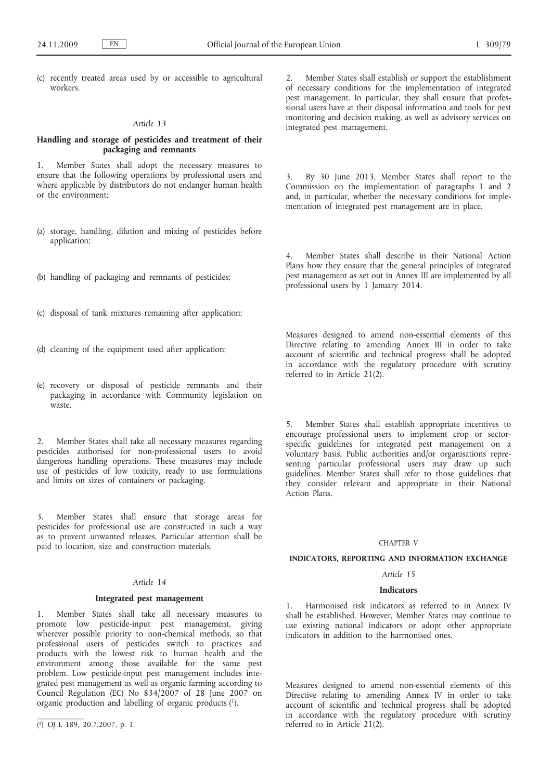(c) recently treated areas used by or accessible to agricultural workers.

#### *Article 13*

# **Handling and storage of pesticides and treatment of their packaging and remnants**

1. Member States shall adopt the necessary measures to ensure that the following operations by professional users and where applicable by distributors do not endanger human health or the environment:

- (a) storage, handling, dilution and mixing of pesticides before application;
- (b) handling of packaging and remnants of pesticides;
- (c) disposal of tank mixtures remaining after application;
- (d) cleaning of the equipment used after application;
- (e) recovery or disposal of pesticide remnants and their packaging in accordance with Community legislation on waste.

2. Member States shall take all necessary measures regarding pesticides authorised for non-professional users to avoid dangerous handling operations. These measures may include use of pesticides of low toxicity, ready to use formulations and limits on sizes of containers or packaging.

3. Member States shall ensure that storage areas for pesticides for professional use are constructed in such a way as to prevent unwanted releases. Particular attention shall be paid to location, size and construction materials.

# *Article 14*

### **Integrated pest management**

1. Member States shall take all necessary measures to promote low pesticide-input pest management, giving wherever possible priority to non-chemical methods, so that professional users of pesticides switch to practices and products with the lowest risk to human health and the environment among those available for the same pest problem. Low pesticide-input pest management includes integrated pest management as well as organic farming according to Council Regulation (EC) No 834/2007 of 28 June 2007 on organic production and labelling of organic products (1).

2. Member States shall establish or support the establishment of necessary conditions for the implementation of integrated pest management. In particular, they shall ensure that professional users have at their disposal information and tools for pest monitoring and decision making, as well as advisory services on integrated pest management.

3. By 30 June 2013, Member States shall report to the Commission on the implementation of paragraphs 1 and 2 and, in particular, whether the necessary conditions for implementation of integrated pest management are in place.

4. Member States shall describe in their National Action Plans how they ensure that the general principles of integrated pest management as set out in Annex III are implemented by all professional users by 1 January 2014.

Measures designed to amend non-essential elements of this Directive relating to amending Annex III in order to take account of scientific and technical progress shall be adopted in accordance with the regulatory procedure with scrutiny referred to in Article 21(2).

5. Member States shall establish appropriate incentives to encourage professional users to implement crop or sectorspecific guidelines for integrated pest management on a voluntary basis. Public authorities and/or organisations representing particular professional users may draw up such guidelines. Member States shall refer to those guidelines that they consider relevant and appropriate in their National Action Plans.

#### CHAPTER V

#### **INDICATORS, REPORTING AND INFORMATION EXCHANGE**

# *Article 15*

### **Indicators**

1. Harmonised risk indicators as referred to in Annex IV shall be established. However, Member States may continue to use existing national indicators or adopt other appropriate indicators in addition to the harmonised ones.

Measures designed to amend non-essential elements of this Directive relating to amending Annex IV in order to take account of scientific and technical progress shall be adopted in accordance with the regulatory procedure with scrutiny referred to in Article 21(2).

<sup>(</sup> 1) OJ L 189, 20.7.2007, p. 1.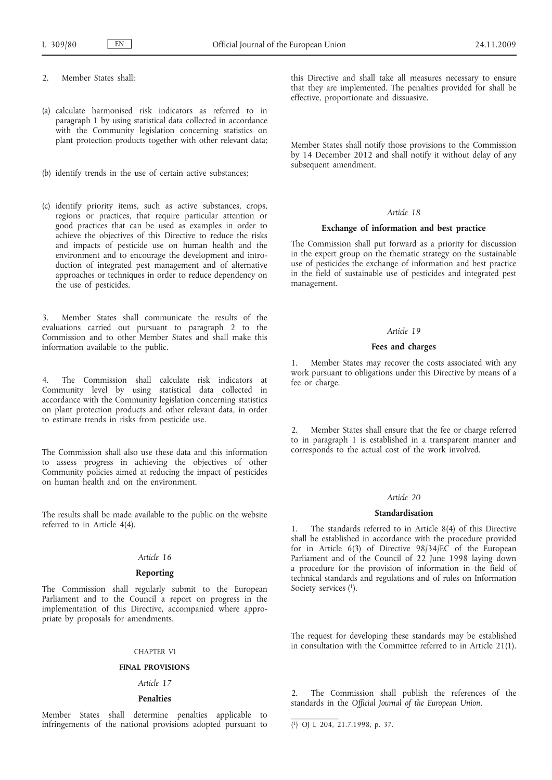- 2. Member States shall:
- (a) calculate harmonised risk indicators as referred to in paragraph 1 by using statistical data collected in accordance with the Community legislation concerning statistics on plant protection products together with other relevant data;
- (b) identify trends in the use of certain active substances;
- (c) identify priority items, such as active substances, crops, regions or practices, that require particular attention or good practices that can be used as examples in order to achieve the objectives of this Directive to reduce the risks and impacts of pesticide use on human health and the environment and to encourage the development and introduction of integrated pest management and of alternative approaches or techniques in order to reduce dependency on the use of pesticides.

3. Member States shall communicate the results of the evaluations carried out pursuant to paragraph 2 to the Commission and to other Member States and shall make this information available to the public.

4. The Commission shall calculate risk indicators at Community level by using statistical data collected in accordance with the Community legislation concerning statistics on plant protection products and other relevant data, in order to estimate trends in risks from pesticide use.

The Commission shall also use these data and this information to assess progress in achieving the objectives of other Community policies aimed at reducing the impact of pesticides on human health and on the environment.

The results shall be made available to the public on the website referred to in Article 4(4).

### *Article 16*

# **Reporting**

The Commission shall regularly submit to the European Parliament and to the Council a report on progress in the implementation of this Directive, accompanied where appropriate by proposals for amendments.

#### CHAPTER VI

### **FINAL PROVISIONS**

# *Article 17*

## **Penalties**

Member States shall determine penalties applicable to infringements of the national provisions adopted pursuant to this Directive and shall take all measures necessary to ensure that they are implemented. The penalties provided for shall be effective, proportionate and dissuasive.

Member States shall notify those provisions to the Commission by 14 December 2012 and shall notify it without delay of any subsequent amendment.

# *Article 18*

### **Exchange of information and best practice**

The Commission shall put forward as a priority for discussion in the expert group on the thematic strategy on the sustainable use of pesticides the exchange of information and best practice in the field of sustainable use of pesticides and integrated pest management.

### *Article 19*

### **Fees and charges**

1. Member States may recover the costs associated with any work pursuant to obligations under this Directive by means of a fee or charge.

Member States shall ensure that the fee or charge referred to in paragraph 1 is established in a transparent manner and corresponds to the actual cost of the work involved.

#### *Article 20*

#### **Standardisation**

1. The standards referred to in Article 8(4) of this Directive shall be established in accordance with the procedure provided for in Article 6(3) of Directive 98/34/EC of the European Parliament and of the Council of 22 June 1998 laying down a procedure for the provision of information in the field of technical standards and regulations and of rules on Information Society services (1).

The request for developing these standards may be established in consultation with the Committee referred to in Article 21(1).

2. The Commission shall publish the references of the standards in the *Official Journal of the European Union*.

( 1) OJ L 204, 21.7.1998, p. 37.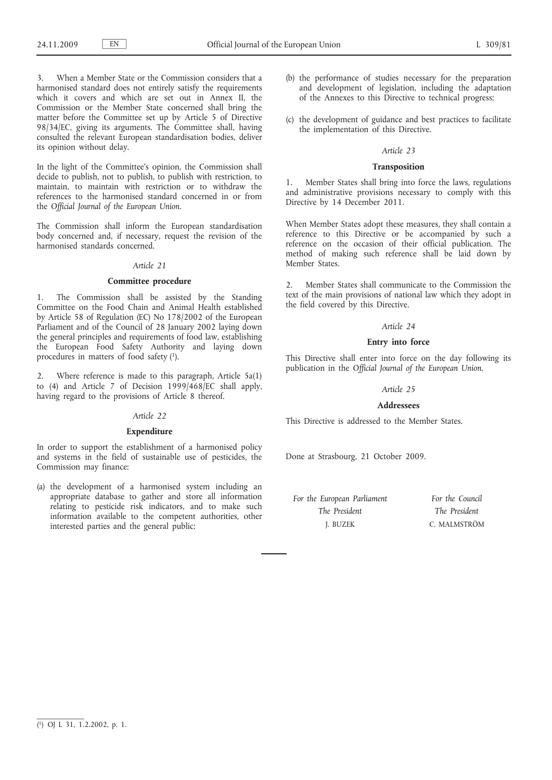When a Member State or the Commission considers that a harmonised standard does not entirely satisfy the requirements which it covers and which are set out in Annex II, the Commission or the Member State concerned shall bring the matter before the Committee set up by Article 5 of Directive 98/34/EC, giving its arguments. The Committee shall, having consulted the relevant European standardisation bodies, deliver its opinion without delay.

In the light of the Committee's opinion, the Commission shall decide to publish, not to publish, to publish with restriction, to maintain, to maintain with restriction or to withdraw the references to the harmonised standard concerned in or from the *Official Journal of the European Union*.

The Commission shall inform the European standardisation body concerned and, if necessary, request the revision of the harmonised standards concerned.

### *Article 21*

### **Committee procedure**

1. The Commission shall be assisted by the Standing Committee on the Food Chain and Animal Health established by Article 58 of Regulation (EC) No 178/2002 of the European Parliament and of the Council of 28 January 2002 laying down the general principles and requirements of food law, establishing the European Food Safety Authority and laying down procedures in matters of food safety (1).

2. Where reference is made to this paragraph, Article 5a(1) to (4) and Article 7 of Decision  $1999/468/EC$  shall apply, having regard to the provisions of Article 8 thereof.

### *Article 22*

### **Expenditure**

In order to support the establishment of a harmonised policy and systems in the field of sustainable use of pesticides, the Commission may finance:

(a) the development of a harmonised system including an appropriate database to gather and store all information relating to pesticide risk indicators, and to make such information available to the competent authorities, other interested parties and the general public;

- (b) the performance of studies necessary for the preparation and development of legislation, including the adaptation of the Annexes to this Directive to technical progress;
- (c) the development of guidance and best practices to facilitate the implementation of this Directive.

### *Article 23*

### **Transposition**

1. Member States shall bring into force the laws, regulations and administrative provisions necessary to comply with this Directive by 14 December 2011.

When Member States adopt these measures, they shall contain a reference to this Directive or be accompanied by such a reference on the occasion of their official publication. The method of making such reference shall be laid down by Member States.

2. Member States shall communicate to the Commission the text of the main provisions of national law which they adopt in the field covered by this Directive.

#### *Article 24*

### **Entry into force**

This Directive shall enter into force on the day following its publication in the *Official Journal of the European Union*.

### *Article 25*

#### **Addressees**

This Directive is addressed to the Member States.

Done at Strasbourg, 21 October 2009.

| For the European Parliament | For the Council |
|-----------------------------|-----------------|
| The President               | The President   |
| J. BUZEK                    | C. MALMSTRÖM    |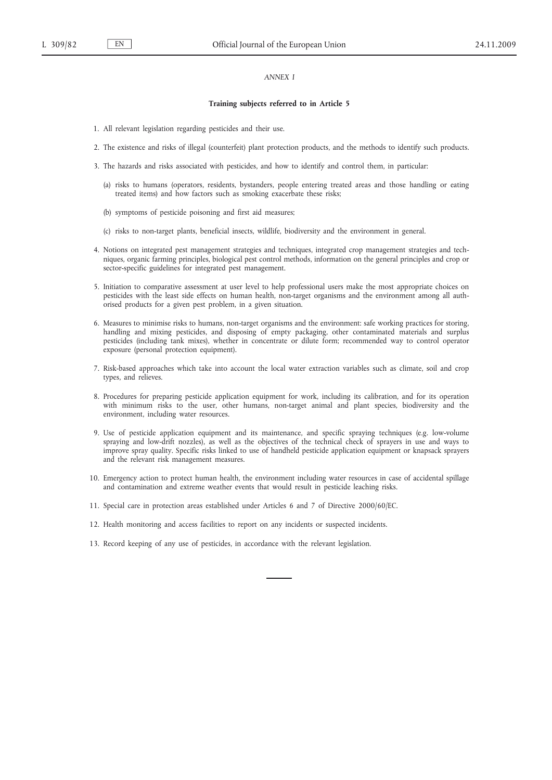## *ANNEX I*

#### **Training subjects referred to in Article 5**

- 1. All relevant legislation regarding pesticides and their use.
- 2. The existence and risks of illegal (counterfeit) plant protection products, and the methods to identify such products.
- 3. The hazards and risks associated with pesticides, and how to identify and control them, in particular:
	- (a) risks to humans (operators, residents, bystanders, people entering treated areas and those handling or eating treated items) and how factors such as smoking exacerbate these risks;
	- (b) symptoms of pesticide poisoning and first aid measures;
	- (c) risks to non-target plants, beneficial insects, wildlife, biodiversity and the environment in general.
- 4. Notions on integrated pest management strategies and techniques, integrated crop management strategies and techniques, organic farming principles, biological pest control methods, information on the general principles and crop or sector-specific guidelines for integrated pest management.
- 5. Initiation to comparative assessment at user level to help professional users make the most appropriate choices on pesticides with the least side effects on human health, non-target organisms and the environment among all authorised products for a given pest problem, in a given situation.
- 6. Measures to minimise risks to humans, non-target organisms and the environment: safe working practices for storing, handling and mixing pesticides, and disposing of empty packaging, other contaminated materials and surplus pesticides (including tank mixes), whether in concentrate or dilute form; recommended way to control operator exposure (personal protection equipment).
- 7. Risk-based approaches which take into account the local water extraction variables such as climate, soil and crop types, and relieves.
- 8. Procedures for preparing pesticide application equipment for work, including its calibration, and for its operation with minimum risks to the user, other humans, non-target animal and plant species, biodiversity and the environment, including water resources.
- 9. Use of pesticide application equipment and its maintenance, and specific spraying techniques (e.g. low-volume spraying and low-drift nozzles), as well as the objectives of the technical check of sprayers in use and ways to improve spray quality. Specific risks linked to use of handheld pesticide application equipment or knapsack sprayers and the relevant risk management measures.
- 10. Emergency action to protect human health, the environment including water resources in case of accidental spillage and contamination and extreme weather events that would result in pesticide leaching risks.
- 11. Special care in protection areas established under Articles 6 and 7 of Directive 2000/60/EC.
- 12. Health monitoring and access facilities to report on any incidents or suspected incidents.
- 13. Record keeping of any use of pesticides, in accordance with the relevant legislation.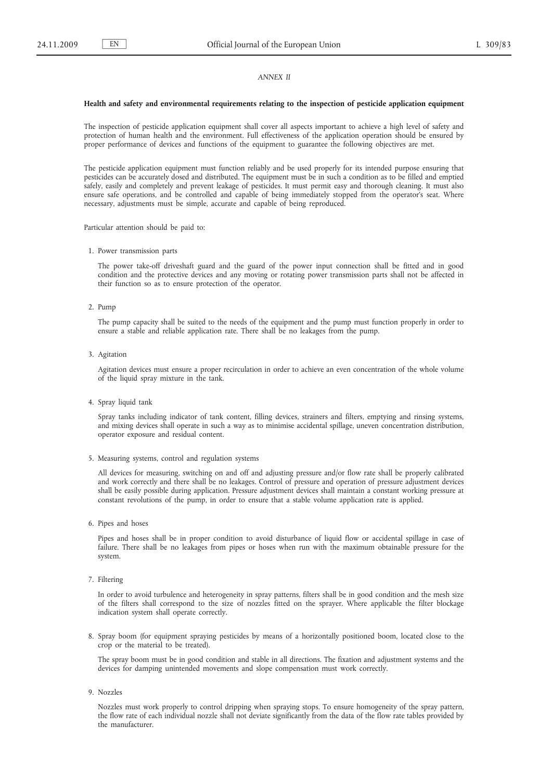### *ANNEX II*

#### **Health and safety and environmental requirements relating to the inspection of pesticide application equipment**

The inspection of pesticide application equipment shall cover all aspects important to achieve a high level of safety and protection of human health and the environment. Full effectiveness of the application operation should be ensured by proper performance of devices and functions of the equipment to guarantee the following objectives are met.

The pesticide application equipment must function reliably and be used properly for its intended purpose ensuring that pesticides can be accurately dosed and distributed. The equipment must be in such a condition as to be filled and emptied safely, easily and completely and prevent leakage of pesticides. It must permit easy and thorough cleaning. It must also ensure safe operations, and be controlled and capable of being immediately stopped from the operator's seat. Where necessary, adjustments must be simple, accurate and capable of being reproduced.

Particular attention should be paid to:

1. Power transmission parts

The power take-off driveshaft guard and the guard of the power input connection shall be fitted and in good condition and the protective devices and any moving or rotating power transmission parts shall not be affected in their function so as to ensure protection of the operator.

2. Pump

The pump capacity shall be suited to the needs of the equipment and the pump must function properly in order to ensure a stable and reliable application rate. There shall be no leakages from the pump.

3. Agitation

Agitation devices must ensure a proper recirculation in order to achieve an even concentration of the whole volume of the liquid spray mixture in the tank.

4. Spray liquid tank

Spray tanks including indicator of tank content, filling devices, strainers and filters, emptying and rinsing systems, and mixing devices shall operate in such a way as to minimise accidental spillage, uneven concentration distribution, operator exposure and residual content.

5. Measuring systems, control and regulation systems

All devices for measuring, switching on and off and adjusting pressure and/or flow rate shall be properly calibrated and work correctly and there shall be no leakages. Control of pressure and operation of pressure adjustment devices shall be easily possible during application. Pressure adjustment devices shall maintain a constant working pressure at constant revolutions of the pump, in order to ensure that a stable volume application rate is applied.

6. Pipes and hoses

Pipes and hoses shall be in proper condition to avoid disturbance of liquid flow or accidental spillage in case of failure. There shall be no leakages from pipes or hoses when run with the maximum obtainable pressure for the system.

7. Filtering

In order to avoid turbulence and heterogeneity in spray patterns, filters shall be in good condition and the mesh size of the filters shall correspond to the size of nozzles fitted on the sprayer. Where applicable the filter blockage indication system shall operate correctly.

8. Spray boom (for equipment spraying pesticides by means of a horizontally positioned boom, located close to the crop or the material to be treated).

The spray boom must be in good condition and stable in all directions. The fixation and adjustment systems and the devices for damping unintended movements and slope compensation must work correctly.

9. Nozzles

Nozzles must work properly to control dripping when spraying stops. To ensure homogeneity of the spray pattern, the flow rate of each individual nozzle shall not deviate significantly from the data of the flow rate tables provided by the manufacturer.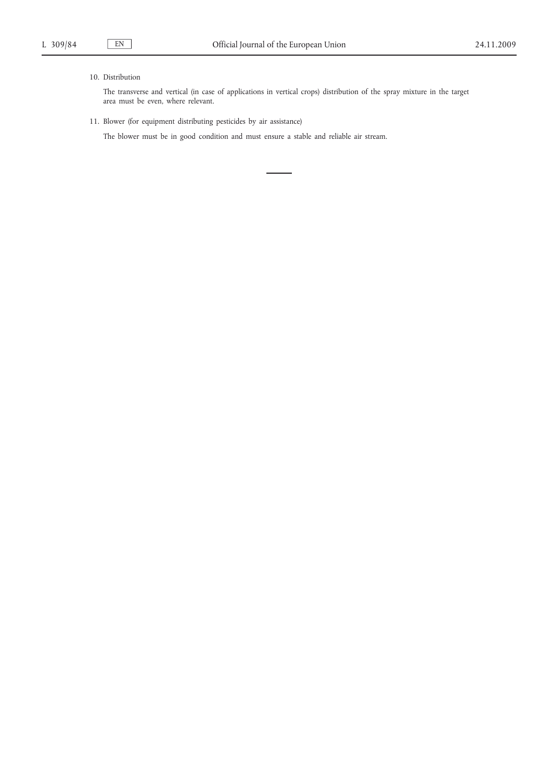# 10. Distribution

The transverse and vertical (in case of applications in vertical crops) distribution of the spray mixture in the target area must be even, where relevant.

11. Blower (for equipment distributing pesticides by air assistance)

The blower must be in good condition and must ensure a stable and reliable air stream.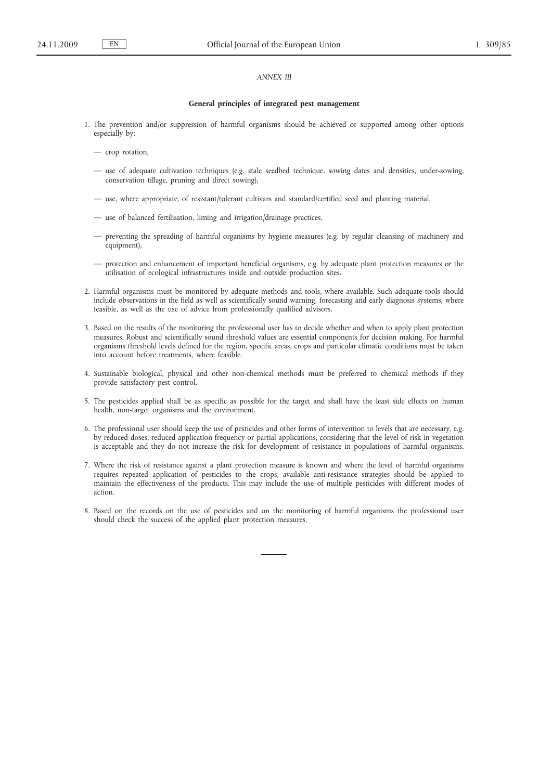## *ANNEX III*

#### **General principles of integrated pest management**

- 1. The prevention and/or suppression of harmful organisms should be achieved or supported among other options especially by:
	- crop rotation,
	- use of adequate cultivation techniques (e.g. stale seedbed technique, sowing dates and densities, under-sowing, conservation tillage, pruning and direct sowing),
	- use, where appropriate, of resistant/tolerant cultivars and standard/certified seed and planting material,
	- use of balanced fertilisation, liming and irrigation/drainage practices,
	- preventing the spreading of harmful organisms by hygiene measures (e.g. by regular cleansing of machinery and equipment),
	- protection and enhancement of important beneficial organisms, e.g. by adequate plant protection measures or the utilisation of ecological infrastructures inside and outside production sites.
- 2. Harmful organisms must be monitored by adequate methods and tools, where available. Such adequate tools should include observations in the field as well as scientifically sound warning, forecasting and early diagnosis systems, where feasible, as well as the use of advice from professionally qualified advisors.
- 3. Based on the results of the monitoring the professional user has to decide whether and when to apply plant protection measures. Robust and scientifically sound threshold values are essential components for decision making. For harmful organisms threshold levels defined for the region, specific areas, crops and particular climatic conditions must be taken into account before treatments, where feasible.
- 4. Sustainable biological, physical and other non-chemical methods must be preferred to chemical methods if they provide satisfactory pest control.
- 5. The pesticides applied shall be as specific as possible for the target and shall have the least side effects on human health, non-target organisms and the environment.
- 6. The professional user should keep the use of pesticides and other forms of intervention to levels that are necessary, e.g. by reduced doses, reduced application frequency or partial applications, considering that the level of risk in vegetation is acceptable and they do not increase the risk for development of resistance in populations of harmful organisms.
- 7. Where the risk of resistance against a plant protection measure is known and where the level of harmful organisms requires repeated application of pesticides to the crops, available anti-resistance strategies should be applied to maintain the effectiveness of the products. This may include the use of multiple pesticides with different modes of action.
- 8. Based on the records on the use of pesticides and on the monitoring of harmful organisms the professional user should check the success of the applied plant protection measures.